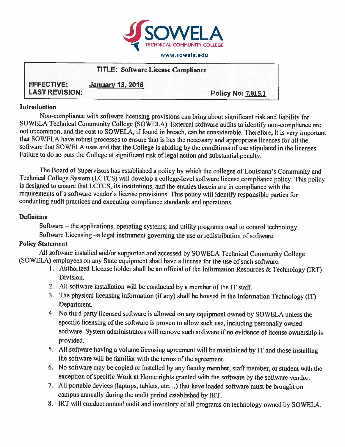

#### **www.sowela.edu**

|                       | <b>TITLE: Software License Compliance</b> |                           |
|-----------------------|-------------------------------------------|---------------------------|
| <b>EFFECTIVE:</b>     | <b>January 13, 2016</b>                   |                           |
| <b>LAST REVISION:</b> |                                           | <b>Policy No: 7.015.1</b> |

#### **Introduction**

Non-compliance with software licensing provisions can bring about significant risk and liability for SOWELA Technical Community College (SOWELA). External software audits to identify non-compliance are not uncommon, and the cost to SOWELA, if found in breach, can be considerable. Therefore, it is very important that SOWELA have robust processes to ensure that is has the necessary and appropriate licenses for all the software that SOWELA uses and that the College is abiding by the conditions of use stipulated in the licenses. Failure to do so puts the College at significant risk of legal action and substantial penalty.

The Board of Supervisors has established a policy by which the colleges of Louisiana's Community and Technical College System (LCTCS) will develop a college-level software license compliance policy. This policy is designed to ensure that LCTCS, its institutions, and the entities therein are in compliance with the requirements of a software vendor's license provisions. This policy will identify responsible parties for conducting audit practices and executing compliance standards and operations.

### **Definition**

Software – the applications, operating systems, and utility programs used to control technology. Software Licensing - a legal instrument governing the use or redistribution of software.

## **Policy Statement**

All software installed and/or supported and accessed by SOWELA Technical Community College (SOWELA) employees on any State equipment shall have a license for the use of such software.

- 1. Authorized License holder shall be an official of the Information Resources & Technology (IRT) Division.
- 2. All software installation will be conducted by a member of the IT staff.
- 3. The physical licensing information (ifany) shall be housed in the Information Technology (IT) Department.
- 4. No third party licensed software is allowed on any equipment owned by SOWELA unless the specific licensing of the software is proven to allow such use, including personally owned software. System administrators will remove such software if no evidence of license ownership is provided.
- 5. All software having a volume licensing agreement will be maintained by IT and those installing the software will be familiar with the terms of the agreement.
- 6. No software may be copied or installed by any faculty member, staffmember, or student with the exception of specific Work at Home rights granted with the software by the software vendor.
- 7. All portable devices {laptops, tablets, etc ...) that have loaded software must be brought on campus annually during the audit period established by IRT.
- 8. IRT will conduct annual audit and inventory of all programs on technology owned by SOWELA.